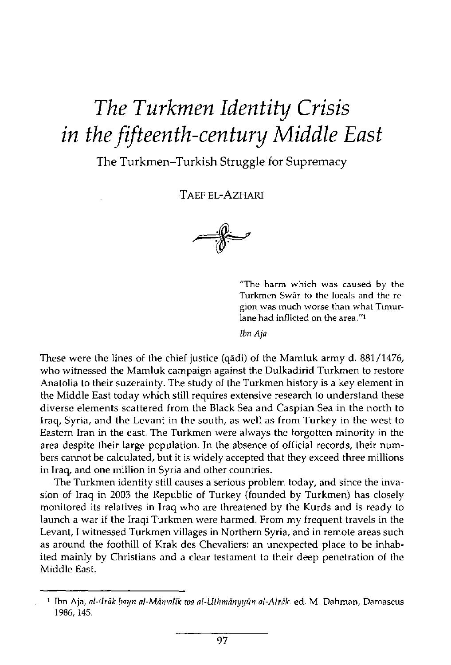## *The Turkmen Identity Crisis in the fifteenth-century Middle East*

## **The Turkmen-Turkish Struggle for Supremacy**

TAEF EL-AZHARI



**"The harm which was caused by the Turkmen Swar to the locals and the region was much worse than what Timurlane had inflicted on the area."<sup>1</sup>**

*Ibn Aja* 

These were the lines of the chief justice (qadi) of the Mamluk army d. 881/1476, who witnessed the Mamluk campaign against the Dulkadirid Turkmen to restore Anatolia to their suzerainty. The study of the Turkmen history is a key element in the Middle East today which still requires extensive research to understand these diverse elements scattered from the Black Sea and Caspian Sea in the north to Iraq, Syria, and the Levant in the south, as well as from Turkey in the west to Eastern Iran in the east. The Turkmen were always the forgotten minority in the area despite their large population. In the absence of official records, their numbers cannot be calculated, but it is widely accepted that they exceed three millions in Iraq, and one million in Syria and other countries.

The Turkmen identity still causes a serious problem today, and since the invasion of Iraq in 2003 the Republic of Turkey (founded by Turkmen) has closely monitored its relatives in Iraq who are threatened by the Kurds and is ready to launch a war if the Iraqi Turkmen were harmed. From my frequent travels in the Levant, I witnessed Turkmen villages in Northern Syria, and in remote areas such as around the foothill of Krak des Chevaliers: an unexpected place to be inhabited mainly by Christians and a clear testament to their deep penetration of the Middle East.

**.**

**<sup>1</sup> Ibn Aja,** *al-cIrak bayn al-Mamalik wa al-Uthmanyyun al-Atrak.* **ed. M. Dahman, Damascus**  1986,145.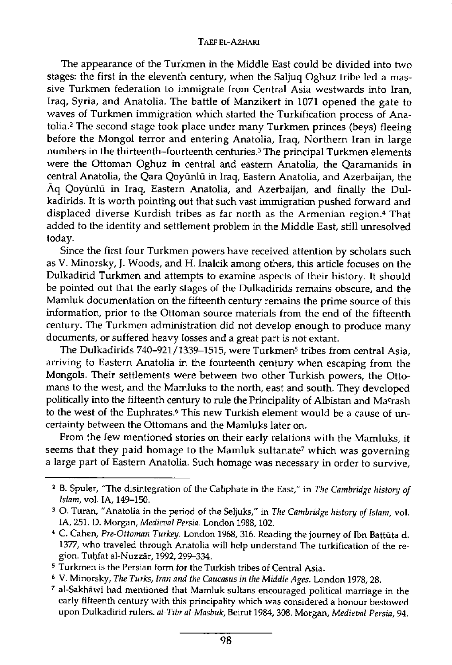The appearance of the Turkmen in the Middle East could be divided into two stages: the first in the eleventh century, when the Saljuq Oghuz tribe led a massive Turkmen federation to immigrate from Central Asia westwards into Iran, Iraq, Syria, and Anatolia. The battle of Manzikert in 1071 opened the gate to waves of Turkmen immigration which started the Turkification process of Anatolia.<sup>2</sup> The second stage took place under many Turkmen princes (beys) fleeing before the Mongol terror and entering Anatolia, Iraq, Northern Iran in large numbers in the thirteenth-fourteenth centuries.<sup>3</sup> The principal Turkmen elements were the Ottoman Oghuz in central and eastern Anatolia, the Qaramanids in central Anatolia, the Qara Qoyunlu in Iraq, Eastern Anatolia, and Azerbaijan, the Aq Qoyunlu in Iraq, Eastern Anatolia, and Azerbaijan, and finally the Dulkadirids. It is worth pointing out that such vast immigration pushed forward and displaced diverse Kurdish tribes as far north as the Armenian region.<sup>4</sup> That added to the identity and settlement problem in the Middle East, still unresolved today.

Since the first four Turkmen powers have received attention by scholars such as V. Minorsky, J. Woods, and H. Inalcik among others, this article focuses on the Dulkadirid Turkmen and attempts to examine aspects of their history. It should be pointed out that the early stages of the Dulkadirids remains obscure, and the Mamluk documentation on the fifteenth century remains the prime source of this information, prior to the Ottoman source materials from the end of the fifteenth century. The Turkmen administration did not develop enough to produce many documents, or suffered heavy losses and a great part is not extant.

The Dulkadirids 740–921/1339–1515, were Turkmen<sup>5</sup> tribes from central Asia, arriving to Eastern Anatolia in the fourteenth century when escaping from the Mongols. Their settlements were between two other Turkish powers, the Ottomans to the west, and the Mamluks to the north, east and south. They developed politically into the fifteenth century to rule the Principality of Albistan and Macrash to the west of the Euphrates.<sup>6</sup> This new Turkish element would be a cause of uncertainty between the Ottomans and the Mamluks later on.

From the few mentioned stories on their early relations with the Mamluks, it seems that they paid homage to the Mamluk sultanate<sup>7</sup> which was governing a large part of Eastern Anatolia. Such homage was necessary in order to survive,

**7 al-Sakhawi had mentioned that Mamluk sultans encouraged political marriage in the early fifteenth century with this principality which was considered a honour bestowed upon Dulkadirid rulers.** *al-Tibr al-Masbuk,* **Beirut 1984,308. Morgan,** *Medieval Persia,* **94.** 

**<sup>2</sup> B. Spuler, "The disintegration of the Caliphate in the East," in** *The Cambridge history of Islam,* **vol. IA, 149-150.** 

**<sup>3</sup> O. Turan, "Anatolia in the period of the Seljuks," in** *The Cambridge history of Islam,* **vol. IA, 251. D. Morgan,** *Medieval Persia.* **London 1988, 102.** 

**<sup>4</sup> C. Cahen,** *Pre-Ottoman Turkey.* **London 1968, 316. Reading the journey of Ibn Battuta d. 1377, who traveled through Anatolia will help understand The turkification of the region. Tuhfat al-Nuzzar, 1992,299-334.** 

**<sup>5</sup> Turkmen is the Persian form for the Turkish tribes of Central Asia.** 

**<sup>6</sup> V. Minorsky,** *The Turks, Iran and the Caucasus in the Middle Ages.* **London 1978,28.**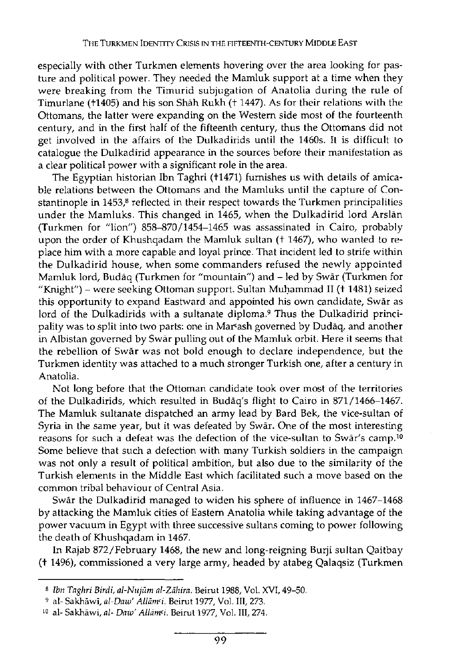especially with other Turkmen elements hovering over the area looking for pasture and political power. They needed the Mamluk support at a time when they were breaking from the Timurid subjugation of Anatolia during the rule of Timurlane (+1405) and his son Shah Rukh (+ 1447). As for their relations with the Ottomans, the latter were expanding on the Western side most of the fourteenth century, and in the first half of the fifteenth century, thus the Ottomans did not get involved in the affairs of the Dulkadirids until the 1460s. It is difficult to catalogue the Dulkadirid appearance in the sources before their manifestation as a clear political power with a significant role in the area.

The Egyptian historian Ibn Taghri (+1471) furnishes us with details of amicable relations between the Ottomans and the Mamluks until the capture of Constantinople in 1453,<sup>8</sup> reflected in their respect towards the Turkmen principalities under the Mamluks. This changed in 1465, when the Dulkadirid lord Arslán (Turkmen for "lion") 858-870/1454-1465 was assassinated in Cairo, probably upon the order of Khushqadam the Mamluk sultan († 1467), who wanted to replace him with a more capable and loyal prince. That incident led to strife within the Dulkadirid house, when some commanders refused the newly appointed Mamluk lord, Budáq (Turkmen for "mountain") and - led by Swár (Turkmen for "Knight") - were seeking Ottoman support. Sultan Muhammad II (+ 1481) seized this opportunity to expand Eastward and appointed his own candidate, Swár as lord of the Dulkadirids with a sultanate diploma.<sup>9</sup> Thus the Dulkadirid principality was to split into two parts: one in Marcash governed by Dudáq, and another in Albistan governed by Swár pulling out of the Mamluk orbit. Here it seems that the rebellion of Swár was not bold enough to declare independence, but the Turkmen identity was attached to a much stronger Turkish one, after a century in Anatolia.

Not long before that the Ottoman candidate took over most of the territories of the Dulkadirids, which resulted in Budáq's flight to Cairo in 871/1466-1467. The Mamluk sultanate dispatched an army lead by Bard Bek, the vice-sultan of Syria in the same year, but it was defeated by Swár. One of the most interesting reasons for such a defeat was the defection of the vice-sultan to Swar's camp.<sup>10</sup> Some believe that such a defection with many Turkish soldiers in the campaign was not only a result of political ambition, but also due to the similarity of the Turkish elements in the Middle East which facilitated such a move based on the common tribal behaviour of Central Asia.

Swár the Dulkadirid managed to widen his sphere of influence in 1467-1468 by attacking the Mamluk cities of Eastern Anatolia while taking advantage of the power vacuum in Egypt with three successive sultans coming to power following the death of Khushqadam in 1467.

In Rajab 872/February 1468, the new and long-reigning Burji sultan Qaitbay (+ 1496), commissioned a very large army, headed by atabeg Qalaqsiz (Turkmen

s *Ibn Taghri Birdi, al-Nujüm al-Zdhira.* **Beirut** 1988, **Vol. XVI,** 49-50.

**<sup>9</sup> al- Sakháwl,** *al-Daw' Allám'i.* **Beirut** 1977, **Vol. Ill,** 273.

<sup>!</sup>o **al- Sakháwí,** *al- Daw' AllamPi.* **Beirut** 1977, **Vol. Ill,** 274.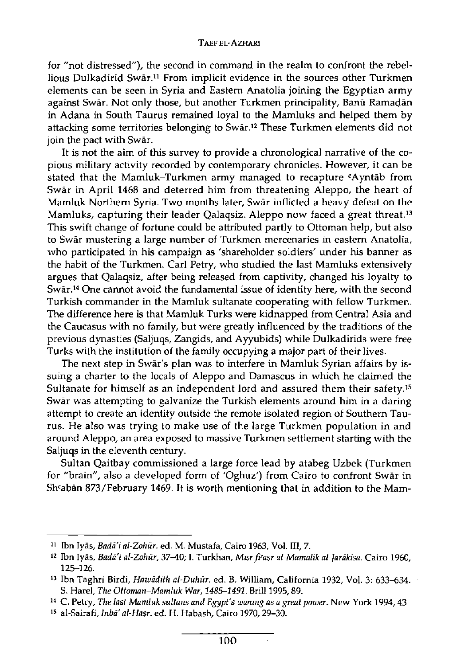for "not distressed"), the second in command in the realm to confront the rebellious Dulkadirid Swar.<sup>11</sup> From implicit evidence in the sources other Turkmen elements can be seen in Syria and Eastern Anatolia joining the Egyptian army against Swār. Not only those, but another Turkmen principality, Banū Ramadān in Adana in South Taurus remained loyal to the Mamluks and helped them by attacking some territories belonging to Swār.12 These Turkmen elements did not join the pact with Swār.

It is not the aim of this survey to provide a chronological narrative of the copious military activity recorded by contemporary chronicles. However, it can be stated that the Mamluk-Turkmen army managed to recapture <sup>c</sup>Ayntab from Swar in April 1468 and deterred him from threatening Aleppo, the heart of Mamluk Northern Syria. Two months later, Swar inflicted a heavy defeat on the Mamluks, capturing their leader Qalaqsiz. Aleppo now faced a great threat.<sup>13</sup> This swift change of fortune could be attributed partly to Ottoman help, but also to Swar mustering a large number of Turkmen mercenaries in eastern Anatolia, who participated in his campaign as 'shareholder soldiers' under his banner as the habit of the Turkmen. Carl Petry, who studied the last Mamluks extensively argues that Qalaqsiz, after being released from captivity, changed his loyalty to Swar.<sup>14</sup> One cannot avoid the fundamental issue of identity here, with the second Turkish commander in the Mamluk sultanate cooperating with fellow Turkmen. The difference here is that Mamluk Turks were kidnapped from Central Asia and the Caucasus with no family, but were greatly influenced by the traditions of the previous dynasties (Saljuqs, Zangids, and Ayyubids) while Dulkadirids were free Turks with the institution of the family occupying a major part of their lives.

The next step in Swar's plan was to interfere in Mamluk Syrian affairs by issuing a charter to the locals of Aleppo and Damascus in which he claimed the Sultanate for himself as an independent lord and assured them their safety.<sup>15</sup> Swar was attempting to galvanize the Turkish elements around him in a daring attempt to create an identity outside the remote isolated region of Southern Taurus. He also was trying to make use of the large Turkmen population in and around Aleppo, an area exposed to massive Turkmen settlement starting with the Saljuqs in the eleventh century.

Sultan Qaitbay commissioned a large force lead by atabeg Uzbek (Turkmen for "brain", also a developed form of 'Oghuz') from Cairo to confront Swar in Shcaban 873/February 1469. It is worth mentioning that in addition to the Mam-

**<sup>11</sup> Ibn Iyas,** *Badai al-Zohur.* **ed. M. Mustafa, Cairo 1963, Vol. Ill, 7.** 

**<sup>12</sup> Ibn Iyas,** *Badai al-Zohur,* **37-40; I. Turkhan,** *Mi\$r ficasr al-Mamalik al-Jardkisa.* **Cairo 1960, 125-126.** 

**<sup>13</sup> Ibn Taghri Birdi,** *Hawddith al-Duhiir.* **ed. B. William, California 1932, Vol. 3: 633-634. S. Harel,** *The Ottoman-Mamluk War, 1485-1491.* **Brill 1995,89.** 

**<sup>14</sup> C. Petry,** *The last Mamluk sultans and Egypt's waning as a great power.* **New York 1994,43.** 

<sup>&</sup>lt;sup>15</sup> al-Sairafi*, Inba' al-Haṣr.* ed. H. Habash, Cairo 1970, 29–30.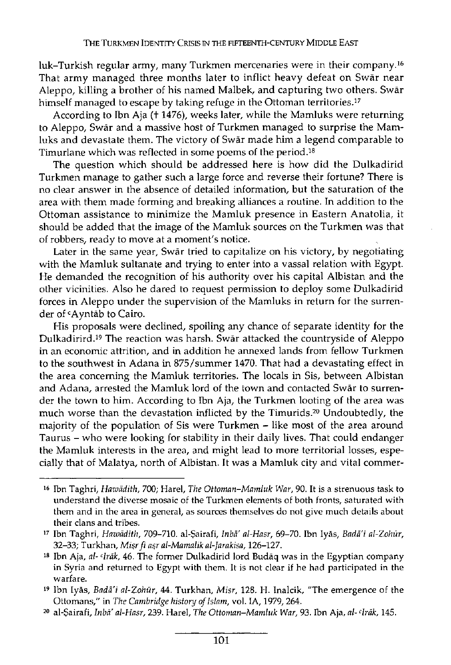luk-Turkish regular army, many Turkmen mercenaries were in their company.<sup>16</sup> That army managed three months later to inflict heavy defeat on Swar near Aleppo, killing a brother of his named Malbek, and capturing two others. Swar himself managed to escape by taking refuge in the Ottoman territories.<sup>17</sup>

According to Ibn Aja (t 1476), weeks later, while the Mamluks were returning to Aleppo, Swar and a massive host of Turkmen managed to surprise the Mamluks and devastate them. The victory of Swar made him a legend comparable to Timurlane which was reflected in some poems of the period.<sup>18</sup>

The question which should be addressed here is how did the Dulkadirid Turkmen manage to gather such a large force and reverse their fortune? There is no clear answer in the absence of detailed information, but the saturation of the area with them made forming and breaking alliances a routine. In addition to the Ottoman assistance to minimize the Mamluk presence in Eastern Anatolia, it should be added that the image of the Mamluk sources on the Turkmen was that of robbers, ready to move at a moment's notice.

Later in the same year, Swar tried to capitalize on his victory, by negotiating with the Mamluk sultanate and trying to enter into a vassal relation with Egypt. He demanded the recognition of his authority over his capital Albistan and the other vicinities. Also he dared to request permission to deploy some Dulkadirid forces in Aleppo under the supervision of the Mamluks in return for the surrender of <sup>c</sup>Ayntab to Cairo.

His proposals were declined, spoiling any chance of separate identity for the Dulkadirird.<sup>19</sup> The reaction was harsh. Swar attacked the countryside of Aleppo in an economic attrition, and in addition he annexed lands from fellow Turkmen to the southwest in Adana in 875/summer 1470. That had a devastating effect in the area concerning the Mamluk territories. The locals in Sis, between Albistan and Adana, arrested the Mamluk lord of the town and contacted Swar to surrender the town to him. According to Ibn Aja, the Turkmen looting of the area was much worse than the devastation inflicted by the Timurids.<sup>20</sup> Undoubtedly, the majority of the population of Sis were Turkmen - like most of the area around Taurus - who were looking for stability in their daily lives. That could endanger the Mamluk interests in the area, and might lead to more territorial losses, especially that of Malatya, north of Albistan. It was a Mamluk city and vital commer-

**<sup>16</sup> Ibn Taghri,** *Hawadith,* **700; Harel,** *The Ottoman-Mamluk War,* **90. It is a strenuous task to understand the diverse mosaic of the Turkmen elements of both fronts, saturated with them and in the area in general, as sources themselves do not give much details about their clans and tribes.** 

**<sup>17</sup> Ibn Taghri,** *Hawadith,* **709-710. al-\$airafi,** *Inba al-Hasr,* **69-70. Ibn Iyas,** *Badai al-Zohur,*  **32-33; Turkhan,** *Misrfi asr al-Mamalik al-Jarakisa,* **126-127.** 

**<sup>18</sup> Ibn Aja,** *al- cIrak,* **46. The former Dulkadirid lord Budaq was in the Egyptian company in Syria and returned to Egypt with them. It is not clear if he had participated in the warfare.** 

**<sup>19</sup> Ibn Iyas,** *Badai al-Zohur,* **44. Turkhan,** *Misr,* **128. H. Inalcik, "The emergence of the Ottomans," in** *The Cambridge history of Islam,* **vol. IA, 1979, 264.** 

**<sup>20</sup> al-\$airafi,** *Inba al-Hasr,* **239. Harel,** *The Ottoman-Mamluk War,* **93. Ibn Aja,** *al-^Irak,* **145.**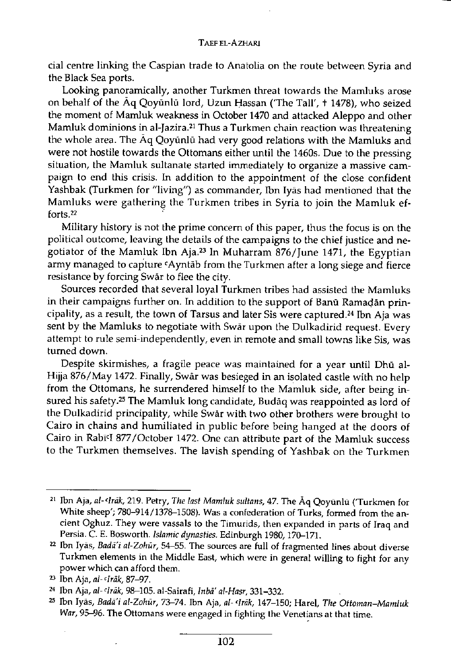cial centre linking the Caspian trade to Anatolia on the route between Syria and the Black Sea ports.

Looking panoramically, another Turkmen threat towards the Mamluks arose on behalf of the Aq Qoyunlu lord, Uzun Hassan ('The Tall', + 1478), who seized the moment of Mamluk weakness in October 1470 and attacked Aleppo and other Mamluk dominions in al-Jazira.<sup>21</sup> Thus a Turkmen chain reaction was threatening the whole area. The Aq Qoyunlu had very good relations with the Mamluks and were not hostile towards the Ottomans either until the 1460s. Due to the pressing situation, the Mamluk sultanate started immediately to organize a massive campaign to end this crisis. In addition to the appointment of the close confident Yashbak (Turkmen for "living") as commander, Ibn Iyas had mentioned that the Mamluks were gathering the Turkmen tribes in Syria to join the Mamluk efforts.<sup>22</sup>

Military history is not the prime concern of this paper, thus the focus is on the political outcome, leaving the details of the campaigns to the chief justice and negotiator of the Mamluk Ibn Aja.<sup>23</sup> In Muharram 876/June 1471, the Egyptian army managed to capture <code>‹Ayntāb</code> from the Turkmen after a long siege and fierce resistance by forcing Swar to flee the city.

Sources recorded that several loyal Turkmen tribes had assisted the Mamluks in their campaigns further on. In addition to the support of Banu Ramadan principality, as a result, the town of Tarsus and later Sis were captured.<sup>24</sup> Ibn Aja was sent by the Mamluks to negotiate with Swar upon the Dulkadirid request. Every attempt to rule semi-independently, even in remote and small towns like Sis, was turned down.

Despite skirmishes, a fragile peace was maintained for a year until Dhū al-Hijja 876/May 1472. Finally, Swar was besieged in an isolated castle with no help from the Ottomans, he surrendered himself to the Mamluk side, after being insured his safety.<sup>25</sup> The Mamluk long candidate, Budaq was reappointed as lord of the Dulkadirid principality, while Swar with two other brothers were brought to Cairo in chains and humiliated in public before being hanged at the doors of Cairo in Rabi<sup>c</sup> I 877/October 1472. One can attribute part of the Mamluk success to the Turkmen themselves. The lavish spending of Yashbak on the Turkmen

**<sup>21</sup> Ibn Aja,** *al- cIrak,* **219. Petry,** *The last Mamluk sultans,* **47. The Aq Qoyunlu (Turkmen for White sheep'; 780-914/1378-1508). Was a confederation of Turks, formed from the ancient Oghuz. They were vassals to the Timurids, then expanded in parts of Iraq and Persia. C. E. Bosworth.** *Islamic dynasties.* **Edinburgh 1980,170-171.** 

**<sup>2</sup> 2 Ibn Iyas,** *Badai al-Zohur,* **54-55. The sources are full of fragmented lines about diverse Turkmen elements in the Middle East, which were in general willing to fight for any power which can afford them.** 

**<sup>2</sup> 3 Ibn Aja,** *al- cIrak,* **87-97.** 

**<sup>2</sup> 4 Ibn Aja,** *al- 'Irak,* **98-105. al-Sairafi,** *Inba al-Hasr,* **331-332.** 

**<sup>2</sup> 5 Ibn Iyas,** *Badai al-Zohur,* **73-74. Ibn Aja,** *al- cIrak,* **147-150; Harel,** *The Ottoman-Mamluk War,* **95-96. The Ottomans were engaged in fighting the Venetians at that time.**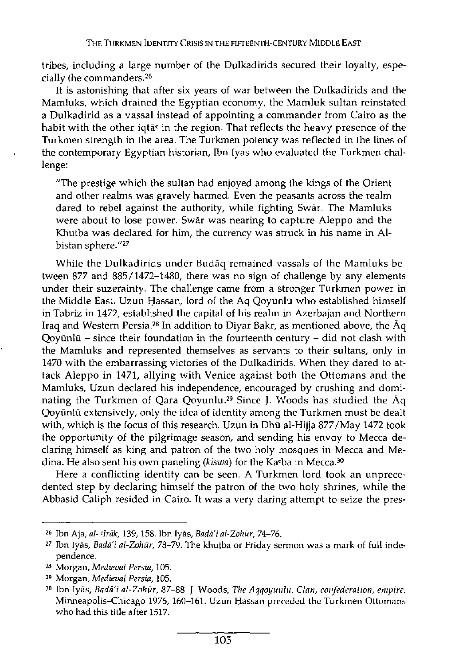tribes, including a large number of the Dulkadirids secured their loyalty, especially the commanders.<sup>26</sup>

It is astonishing that after six years of war between the Dulkadirids and the Mamluks, which drained the Egyptian economy, the Mamluk sultan reinstated a Dulkadirid as a vassal instead of appointing a commander from Cairo as the habit with the other iqtā<sup>c</sup> in the region. That reflects the heavy presence of the Turkmen strength in the area. The Turkmen potency was reflected in the lines of the contemporary Egyptian historian, Ibn Iyas who evaluated the Turkmen challenge:

"The prestige which the sultan had enjoyed among the kings of the Orient and other realms was gravely harmed. Even the peasants across the realm dared to rebel against the authority, while fighting Swár. The Mamluks were about to lose power. Swár was nearing to capture Aleppo and the Khutba was declared for him, the currency was struck in his name in Albistan sphere."<sup>27</sup>

While the Dulkadirids under Budáq remained vassals of the Mamluks between 877 and 885/1472-1480, there was no sign of challenge by any elements under their suzerainty. The challenge came from a stronger Turkmen power in the Middle East. Uzun Hassan, lord of the Áq Qoyünlü who established himself in Tabriz in 1472, established the capital of his realm in Azerbajan and Northern Iraq and Western Persia.<sup>28</sup> In addition to Diyar Bakr, as mentioned above, the Aq Qoyünlü - since their foundation in the fourteenth century - did not clash with the Mamluks and represented themselves as servants to their sultans, only in 1470 with the embarrassing victories of the Dulkadirids. When they dared to attack Aleppo in 1471, allying with Venice against both the Ottomans and the Mamluks, Uzun declared his independence, encouraged by crushing and dominating the Turkmen of Qara Qoyunlu.<sup>29</sup> Since J. Woods has studied the Aq Qoyünlü extensively, only the idea of identity among the Turkmen must be dealt with, which is the focus of this research. Uzun in Dhü al-Hijja 877/May 1472 took the opportunity of the pilgrimage season, and sending his envoy to Mecca declaring himself as king and patron of the two holy mosques in Mecca and Medina. He also sent his own paneling (kiswa) for the Ka<sup>c</sup>ba in Mecca.<sup>30</sup>

Here a conflicting identity can be seen. A Turkmen lord took an unprecedented step by declaring himself the patron of the two holy shrines, while the Abbasid Caliph resided in Cairo. It was a very daring attempt to seize the pres-

**<sup>26</sup> Ibn Aja,** *al-'Irak,* **139,158. Ibn Iyas,** *Badai al-Zohur,* **74-76.** 

**<sup>27</sup> Ibn Iyas,** *Badai al-Zohur,* **78-79. The khutba or Friday sermon was a mark of full independence.** 

**<sup>28</sup> Morgan,** *Medieval Persia,* **105.** 

**<sup>29</sup> Morgan,** *Medieval Persia,* **105.** 

**<sup>30</sup> Ibn Iyas,** *Badai al-Zohur,* **87-88. J. Woods,** *The Aqqoyunlu. Clan, confederation, empire.*  **Minneapolis-Chicago 1976, 160-161. Uzun Hassan preceded the Turkmen Ottomans who had this title after 1517.**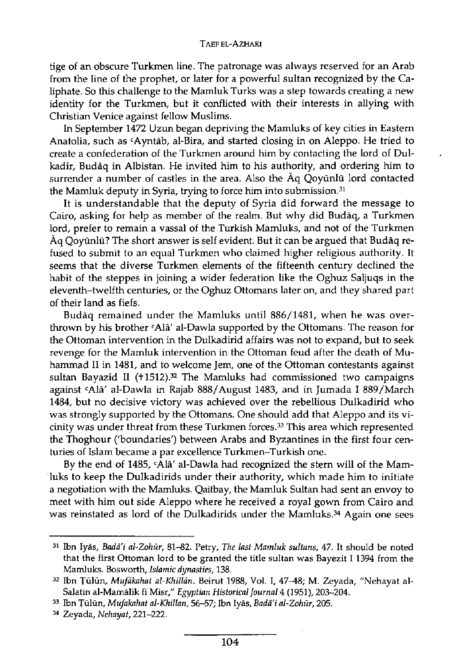## **TAEF EL-AZHARI**

tige of an obscure Turkmen line. The patronage was always reserved for an Arab from the line of the prophet, or later for a powerful sultan recognized by the Caliphate. So this challenge to the Mamluk Turks was a step towards creating a new identity for the Turkmen, but it conflicted with their interests in allying with Christian Venice against fellow Muslims.

In September 1472 Uzun began depriving the Mamluks of key cities in Eastern Anatolia, such as <code>‹Ayntāb,</code> al-Bira, and started closing in on Aleppo. He tried to create a confederation of the Turkmen around him by contacting the lord of Dulkadir, Budaq in Albistan. He invited him to his authority, and ordering him to surrender a number of castles in the area. Also the Aq Qoyunlu lord contacted the Mamluk deputy in Syria, trying to force him into submission.<sup>31</sup>

It is understandable that the deputy of Syria did forward the message to Cairo, asking for help as member of the realm. But why did Budaq, a Turkmen lord, prefer to remain a vassal of the Turkish Mamluks, and not of the Turkmen Aq Qoyunlu? The short answer is self evident. But it can be argued that Budaq refused to submit to an equal Turkmen who claimed higher religious authority. It seems that the diverse Turkmen elements of the fifteenth century declined the habit of the steppes in joining a wider federation like the Oghuz Saljuqs in the eleventh-twelfth centuries, or the Oghuz Ottomans later on, and they shared part of their land as fiefs.

Budaq remained under the Mamluks until 886/1481, when he was overthrown by his brother **SAlā' al-Dawla supported by the Ottoman**s. The reason for the Ottoman intervention in the Dulkadirid affairs was not to expand, but to seek revenge for the Mamluk intervention in the Ottoman feud after the death of Muhammad II in 1481, and to welcome Jem, one of the Ottoman contestants against sultan Bayazid II (+1512).<sup>32</sup> The Mamluks had commissioned two campaigns against <sup>c</sup>Ala' al-Dawla in Rajab 888/August 1483, and in Jumada I 889/March 1484, but no decisive victory was achieved over the rebellious Dulkadirid who was strongly supported by the Ottomans. One should add that Aleppo and its vicinity was under threat from these Turkmen forces.<sup>33</sup> This area which represented the Thoghour ('boundaries') between Arabs and Byzantines in the first four centuries of Islam became a par excellence Turkmen-Turkish one.

By the end of 1485, <sup>c</sup>Alā' al-Dawla had recognized the stern will of the Mamluks to keep the Dulkadirids under their authority, which made him to initiate a negotiation with the Mamluks. Qaitbay, the Mamluk Sultan had sent an envoy to meet with him out side Aleppo where he received a royal gown from Cairo and was reinstated as lord of the Dulkadirids under the Mamluks.<sup>34</sup> Again one sees

**<sup>31</sup> Ibn Iyâs,** *Badai al-Zohur,* **81-82. Petry,** *The last Mamluk sultans,* **47. It should be noted that the first Ottoman lord to be granted the title sultan was Bayezit 1 1394 from the Mamluks. Bosworth,** *Islamic dynasties,* **138.** 

**<sup>3</sup> 2 Ibn Tûlûn,** *Mufâkahat al-Khillân.* **Beirut 1988, Vol. I, 47-48; M. Zeyada, "Nehayat al-Salatin al-Mamàlïk fi Misr,"** *Egyptian Historical journal* **4 (1951), 203-204.** 

**<sup>3</sup> 3 Ibn Tùlùn,** *Mufakahat al-Khillan,* **56-57; Ibn Iyâs,** *Badai al-Zohur,* **205.** 

**<sup>3</sup> 4 Zeyada,** *Nehayat,* **221-222.**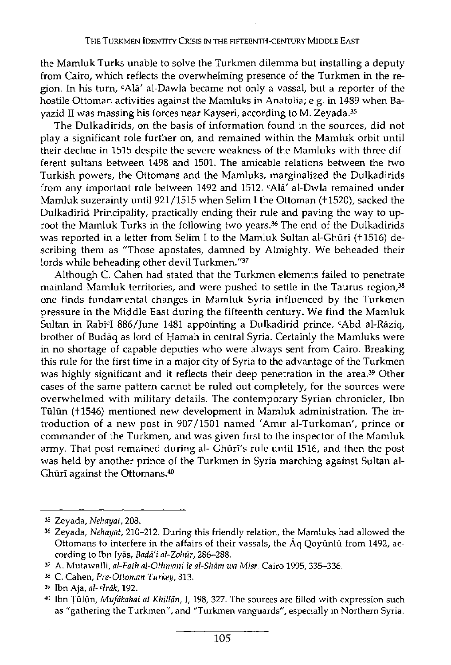the Mamluk Turks unable to solve the Turkmen dilemma but installing a deputy from Cairo, which reflects the overwhelming presence of the Turkmen in the region. In his turn, <sup>c</sup>Ala' al-Dawla became not only a vassal, but a reporter of the hostile Ottoman activities against the Mamluks in Anatolia; e.g. in 1489 when Bayazid II was massing his forces near Kayseri, according to M. Zeyada.<sup>35</sup>

The Dulkadirids, on the basis of information found in the sources, did not play a significant role further on, and remained within the Mamluk orbit until their decline in 1515 despite the severe weakness of the Mamluks with three different sultans between 1498 and 1501. The amicable relations between the two Turkish powers, the Ottomans and the Mamluks, marginalized the Dulkadirids from any important role between 1492 and 1512. <sup>c</sup>Ala' al-Dwla remained under Mamluk suzerainty until 921/1515 when Selim I the Ottoman (+1520), sacked the Dulkadirid Principality, practically ending their rule and paving the way to uproot the Mamluk Turks in the following two years.<sup>36</sup> The end of the Dulkadirids was reported in a letter from Selim I to the Mamluk Sultan al-Ghūrī (+1516) describing them as "Those apostates, damned by Almighty. We beheaded their lords while beheading other devil Turkmen."<sup>37</sup>

Although C. Cahen had stated that the Turkmen elements failed to penetrate mainland Mamluk territories, and were pushed to settle in the Taurus region,<sup>38</sup> one finds fundamental changes in Mamluk Syria influenced by the Turkmen pressure in the Middle East during the fifteenth century. We find the Mamluk Sultan in Rabi<sup>c</sup> I 886/June 1481 appointing a Dulkadirid prince, <sup>c</sup>Abd al-Raziq, brother of Budaq as lord of Hamah in central Syria. Certainly the Mamluks were in no shortage of capable deputies who were always sent from Cairo. Breaking this rule for the first time in a major city of Syria to the advantage of the Turkmen was highly significant and it reflects their deep penetration in the area.<sup>39</sup> Other cases of the same pattern cannot be ruled out completely, for the sources were overwhelmed with military details. The contemporary Syrian chronicler, Ibn Tūlūn (+1546) mentioned new development in Mamluk administration. The introduction of a new post in 907/1501 named 'Amir al-Turkoman', prince or commander of the Turkmen, and was given first to the inspector of the Mamluk army. That post remained during al- Ghuri's rule until 1516, and then the post was held by another prince of the Turkmen in Syria marching against Sultan al-Ghūrī against the Ottomans.<sup>40</sup>

**<sup>35</sup> Zeyada,** *Nehayat,* **208.** 

**<sup>36</sup> Zeyada,** *Nehayat,* **210-212. During this friendly relation, the Mamluks had allowed the**  Ottomans to interfere in the affairs of their vassals, the  $\bar{A}q$  Qoyunlu from 1492, ac**cording to Ibn Iyas,** *Badai al-Zohur,* **286-288.** 

**<sup>37</sup> A. Mutawalli,** *al-Fath al-Othmani le al-Sham wa Mi sr.* **Cairo 1995,335-336.** 

**<sup>38</sup> C. Cahen,** *Pre-Ottoman Turkey,* **313.** 

**<sup>39</sup> Ibn Aja,** *al- cIrak,* **192.** 

**<sup>40</sup> Ibn Tulun,** *Mufakahat al-Khillan,* **1,198, 327. The sources are filled with expression such as "gathering the Turkmen", and "Turkmen vanguards", especially in Northern Syria.**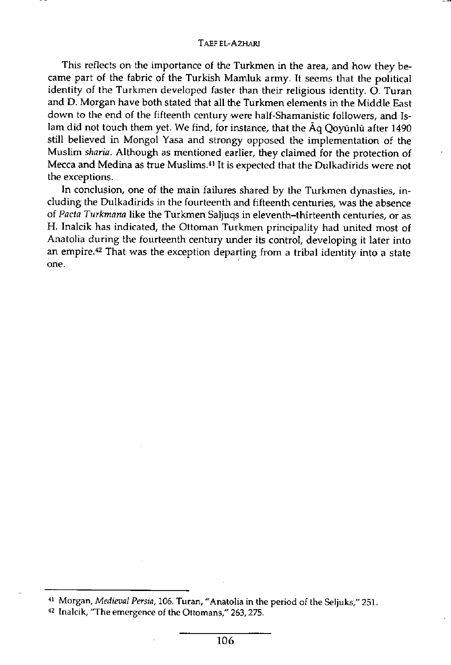This reflects on the importance of the Turkmen in the area, and how they became part of the fabric of the Turkish Mamluk army. It seems that the political identity of the Turkmen developed faster than their religious identity. O. Turan and D. Morgan have both stated that all the Turkmen elements in the Middle East down to the end of the fifteenth century were half-Shamanistic followers, and Islam did not touch them yet. We find, for instance, that the Aq Qoyunlu after 1490 still believed in Mongol Yasa and strongy opposed the implementation of the Muslim *sharia.* Although as mentioned earlier, they claimed for the protection of Mecca and Medina as true Muslims.<sup>41</sup> It is expected that the Dulkadirids were not the exceptions.

In conclusion, one of the main failures shared by the Turkmen dynasties, including the Dulkadirids in the fourteenth and fifteenth centuries, was the absence of *Pacta Turkmana* like the Turkmen Saljuqs in eleventh-thirteenth centuries, or as H. Inalcik has indicated, the Ottoman Turkmen principality had united most of Anatolia during the fourteenth century under its control, developing it later into an empire.<sup>42</sup> That was the exception departing from a tribal identity into a state one.

**<sup>41</sup> Morgan,** *Medieval Persia,* **106. Turan, "Anatolia in the period of the Seljuks," 251.** 

**<sup>42</sup> Inalcik, "The emergence of the Ottomans," 263,275.**